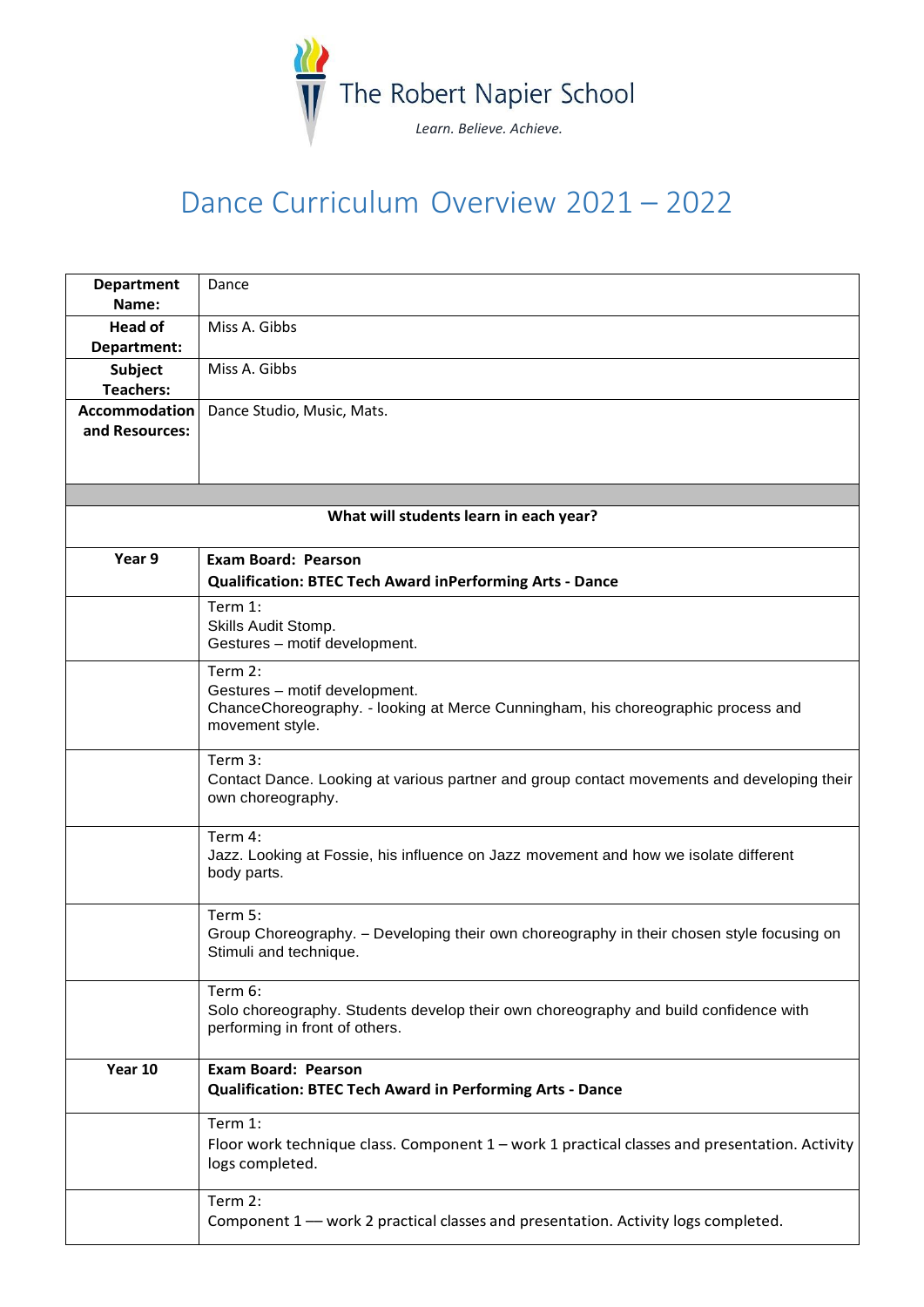

## Dance Curriculum Overview 2021 – 2022

| <b>Department</b>                      | Dance                                                                                                                  |  |
|----------------------------------------|------------------------------------------------------------------------------------------------------------------------|--|
| Name:                                  |                                                                                                                        |  |
| <b>Head of</b>                         | Miss A. Gibbs                                                                                                          |  |
| Department:                            | Miss A. Gibbs                                                                                                          |  |
| <b>Subject</b><br><b>Teachers:</b>     |                                                                                                                        |  |
| <b>Accommodation</b>                   | Dance Studio, Music, Mats.                                                                                             |  |
| and Resources:                         |                                                                                                                        |  |
|                                        |                                                                                                                        |  |
|                                        |                                                                                                                        |  |
| What will students learn in each year? |                                                                                                                        |  |
| Year 9                                 | <b>Exam Board: Pearson</b>                                                                                             |  |
|                                        | <b>Qualification: BTEC Tech Award inPerforming Arts - Dance</b>                                                        |  |
|                                        | Term 1:                                                                                                                |  |
|                                        | Skills Audit Stomp.                                                                                                    |  |
|                                        | Gestures - motif development.                                                                                          |  |
|                                        | Term 2:                                                                                                                |  |
|                                        | Gestures - motif development.                                                                                          |  |
|                                        | ChanceChoreography. - looking at Merce Cunningham, his choreographic process and<br>movement style.                    |  |
|                                        |                                                                                                                        |  |
|                                        | Term 3:                                                                                                                |  |
|                                        | Contact Dance. Looking at various partner and group contact movements and developing their                             |  |
|                                        | own choreography.                                                                                                      |  |
|                                        | Term 4:                                                                                                                |  |
|                                        | Jazz. Looking at Fossie, his influence on Jazz movement and how we isolate different                                   |  |
|                                        | body parts.                                                                                                            |  |
|                                        |                                                                                                                        |  |
|                                        | Term 5:<br>Group Choreography. - Developing their own choreography in their chosen style focusing on                   |  |
|                                        | Stimuli and technique.                                                                                                 |  |
|                                        |                                                                                                                        |  |
|                                        | Term 6:                                                                                                                |  |
|                                        | Solo choreography. Students develop their own choreography and build confidence with<br>performing in front of others. |  |
|                                        |                                                                                                                        |  |
| Year 10                                | <b>Exam Board: Pearson</b>                                                                                             |  |
|                                        | <b>Qualification: BTEC Tech Award in Performing Arts - Dance</b>                                                       |  |
|                                        | Term 1:                                                                                                                |  |
|                                        | Floor work technique class. Component 1 - work 1 practical classes and presentation. Activity                          |  |
|                                        | logs completed.                                                                                                        |  |
|                                        |                                                                                                                        |  |
|                                        | Term 2:<br>Component 1 - work 2 practical classes and presentation. Activity logs completed.                           |  |
|                                        |                                                                                                                        |  |